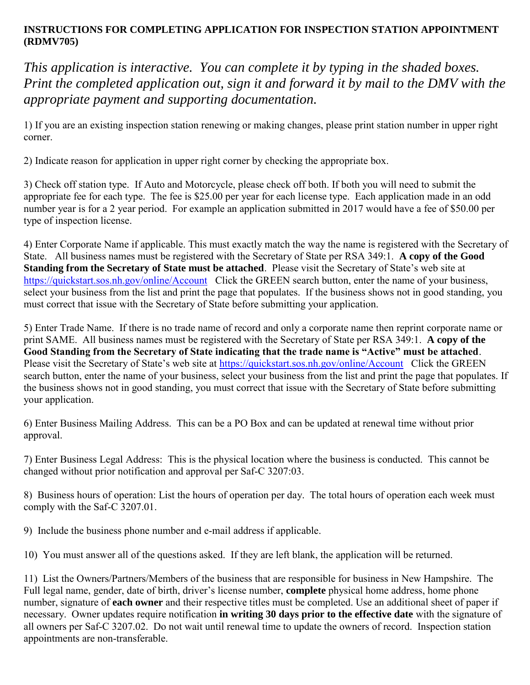## **INSTRUCTIONS FOR COMPLETING APPLICATION FOR INSPECTION STATION APPOINTMENT (RDMV705)**

*This application is interactive. You can complete it by typing in the shaded boxes. Print the completed application out, sign it and forward it by mail to the DMV with the appropriate payment and supporting documentation.* 

1) If you are an existing inspection station renewing or making changes, please print station number in upper right corner.

2) Indicate reason for application in upper right corner by checking the appropriate box.

3) Check off station type. If Auto and Motorcycle, please check off both. If both you will need to submit the appropriate fee for each type. The fee is \$25.00 per year for each license type. Each application made in an odd number year is for a 2 year period. For example an application submitted in 2017 would have a fee of \$50.00 per type of inspection license.

4) Enter Corporate Name if applicable. This must exactly match the way the name is registered with the Secretary of State. All business names must be registered with the Secretary of State per RSA 349:1. **A copy of the Good Standing from the Secretary of State must be attached**. Please visit the Secretary of State's web site at <https://quickstart.sos.nh.gov/online/Account>Click the GREEN search button, enter the name of your business, select your business from the list and print the page that populates. If the business shows not in good standing, you must correct that issue with the Secretary of State before submitting your application.

5) Enter Trade Name. If there is no trade name of record and only a corporate name then reprint corporate name or print SAME. All business names must be registered with the Secretary of State per RSA 349:1. **A copy of the Good Standing from the Secretary of State indicating that the trade name is "Active" must be attached**. Please visit the Secretary of State's web site at<https://quickstart.sos.nh.gov/online/Account>Click the GREEN search button, enter the name of your business, select your business from the list and print the page that populates. If the business shows not in good standing, you must correct that issue with the Secretary of State before submitting your application.

6) Enter Business Mailing Address. This can be a PO Box and can be updated at renewal time without prior approval.

7) Enter Business Legal Address: This is the physical location where the business is conducted. This cannot be changed without prior notification and approval per Saf-C 3207:03.

8) Business hours of operation: List the hours of operation per day. The total hours of operation each week must comply with the Saf-C 3207.01.

9) Include the business phone number and e-mail address if applicable.

10) You must answer all of the questions asked. If they are left blank, the application will be returned.

11) List the Owners/Partners/Members of the business that are responsible for business in New Hampshire. The Full legal name, gender, date of birth, driver's license number, **complete** physical home address, home phone number, signature of **each owner** and their respective titles must be completed. Use an additional sheet of paper if necessary. Owner updates require notification **in writing 30 days prior to the effective date** with the signature of all owners per Saf-C 3207.02. Do not wait until renewal time to update the owners of record. Inspection station appointments are non-transferable.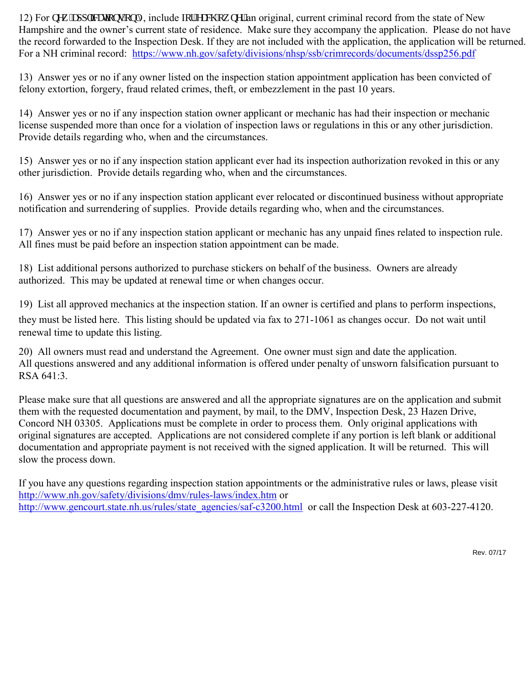12) For pgy "cr r recologing include  $\ln t$ "gcej "qy pgt" an original, current criminal record from the state of New Hampshire and the owner's current state of residence. Make sure they accompany the application. Please do not have the record forwarded to the Inspection Desk. If they are not included with the application, the application will be returned. For a NH criminal record: <https://www.nh.gov/safety/divisions/nhsp/ssb/crimrecords/documents/dssp256.pdf>

13) Answer yes or no if any owner listed on the inspection station appointment application has been convicted of felony extortion, forgery, fraud related crimes, theft, or embezzlement in the past 10 years.

14) Answer yes or no if any inspection station owner applicant or mechanic has had their inspection or mechanic license suspended more than once for a violation of inspection laws or regulations in this or any other jurisdiction. Provide details regarding who, when and the circumstances.

15) Answer yes or no if any inspection station applicant ever had its inspection authorization revoked in this or any other jurisdiction. Provide details regarding who, when and the circumstances.

16) Answer yes or no if any inspection station applicant ever relocated or discontinued business without appropriate notification and surrendering of supplies. Provide details regarding who, when and the circumstances.

17) Answer yes or no if any inspection station applicant or mechanic has any unpaid fines related to inspection rule. All fines must be paid before an inspection station appointment can be made.

18) List additional persons authorized to purchase stickers on behalf of the business. Owners are already authorized. This may be updated at renewal time or when changes occur.

19) List all approved mechanics at the inspection station. If an owner is certified and plans to perform inspections, they must be listed here. This listing should be updated via fax to 271-1061 as changes occur. Do not wait until renewal time to update this listing.

20) All owners must read and understand the Agreement. One owner must sign and date the application. All questions answered and any additional information is offered under penalty of unsworn falsification pursuant to RSA 641:3.

Please make sure that all questions are answered and all the appropriate signatures are on the application and submit them with the requested documentation and payment, by mail, to the DMV, Inspection Desk, 23 Hazen Drive, Concord NH 03305. Applications must be complete in order to process them. Only original applications with original signatures are accepted. Applications are not considered complete if any portion is left blank or additional documentation and appropriate payment is not received with the signed application. It will be returned. This will slow the process down.

If you have any questions regarding inspection station appointments or the administrative rules or laws, please visit <http://www.nh.gov/safety/divisions/dmv/rules-laws/index.htm>or [http://www.gencourt.state.nh.us/rules/state\\_agencies/saf-c3200.html](http://www.gencourt.state.nh.us/rules/state_agencies/saf-c3200.html) or call the Inspection Desk at 603-227-4120.

Rev. 07/17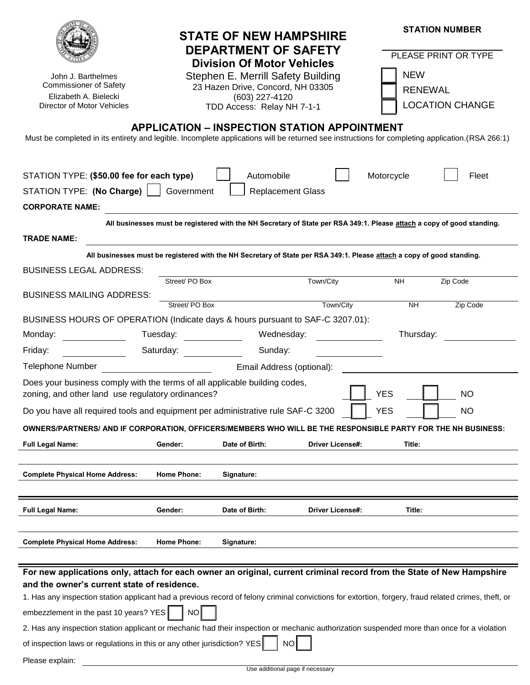| John J. Barthelmes<br><b>Commissioner of Safety</b><br>Elizabeth A. Bielecki<br>Director of Motor Vehicles<br>Must be completed in its entirety and legible. Incomplete applications will be returned see instructions for completing application. (RSA 266:1)                                                                                                                                                                                                                                                        |                                                                                                            | <b>STATE OF NEW HAMPSHIRE</b><br><b>DEPARTMENT OF SAFETY</b><br><b>Division Of Motor Vehicles</b><br>Stephen E. Merrill Safety Building<br>23 Hazen Drive, Concord, NH 03305<br>(603) 227-4120<br>TDD Access: Relay NH 7-1-1<br><b>APPLICATION - INSPECTION STATION APPOINTMENT</b> |                         | <b>NEW</b><br><b>RENEWAL</b> | <b>STATION NUMBER</b><br>PLEASE PRINT OR TYPE<br><b>LOCATION CHANGE</b> |  |
|-----------------------------------------------------------------------------------------------------------------------------------------------------------------------------------------------------------------------------------------------------------------------------------------------------------------------------------------------------------------------------------------------------------------------------------------------------------------------------------------------------------------------|------------------------------------------------------------------------------------------------------------|-------------------------------------------------------------------------------------------------------------------------------------------------------------------------------------------------------------------------------------------------------------------------------------|-------------------------|------------------------------|-------------------------------------------------------------------------|--|
| STATION TYPE: (\$50.00 fee for each type)<br>STATION TYPE: (No Charge)                                                                                                                                                                                                                                                                                                                                                                                                                                                | Government                                                                                                 | Automobile<br><b>Replacement Glass</b>                                                                                                                                                                                                                                              |                         | Motorcycle                   | Fleet                                                                   |  |
| <b>CORPORATE NAME:</b>                                                                                                                                                                                                                                                                                                                                                                                                                                                                                                |                                                                                                            |                                                                                                                                                                                                                                                                                     |                         |                              |                                                                         |  |
|                                                                                                                                                                                                                                                                                                                                                                                                                                                                                                                       |                                                                                                            | All businesses must be registered with the NH Secretary of State per RSA 349:1. Please attach a copy of good standing.                                                                                                                                                              |                         |                              |                                                                         |  |
| <b>TRADE NAME:</b>                                                                                                                                                                                                                                                                                                                                                                                                                                                                                                    |                                                                                                            |                                                                                                                                                                                                                                                                                     |                         |                              |                                                                         |  |
|                                                                                                                                                                                                                                                                                                                                                                                                                                                                                                                       |                                                                                                            | All businesses must be registered with the NH Secretary of State per RSA 349:1. Please attach a copy of good standing.                                                                                                                                                              |                         |                              |                                                                         |  |
| <b>BUSINESS LEGAL ADDRESS:</b>                                                                                                                                                                                                                                                                                                                                                                                                                                                                                        |                                                                                                            |                                                                                                                                                                                                                                                                                     |                         |                              |                                                                         |  |
|                                                                                                                                                                                                                                                                                                                                                                                                                                                                                                                       | Street/ PO Box                                                                                             |                                                                                                                                                                                                                                                                                     | Town/City               | <b>NH</b>                    | Zip Code                                                                |  |
| <b>BUSINESS MAILING ADDRESS:</b>                                                                                                                                                                                                                                                                                                                                                                                                                                                                                      | Street/PO Box                                                                                              |                                                                                                                                                                                                                                                                                     | Town/City               | <b>NH</b>                    | Zip Code                                                                |  |
| BUSINESS HOURS OF OPERATION (Indicate days & hours pursuant to SAF-C 3207.01):                                                                                                                                                                                                                                                                                                                                                                                                                                        |                                                                                                            |                                                                                                                                                                                                                                                                                     |                         |                              |                                                                         |  |
| Monday:                                                                                                                                                                                                                                                                                                                                                                                                                                                                                                               | Tuesday:                                                                                                   | Wednesday:                                                                                                                                                                                                                                                                          |                         | Thursday:                    |                                                                         |  |
| Friday:                                                                                                                                                                                                                                                                                                                                                                                                                                                                                                               | Saturday: Saturday:                                                                                        | Sunday:                                                                                                                                                                                                                                                                             |                         |                              |                                                                         |  |
| <b>Telephone Number</b><br>Email Address (optional):                                                                                                                                                                                                                                                                                                                                                                                                                                                                  |                                                                                                            |                                                                                                                                                                                                                                                                                     |                         |                              |                                                                         |  |
| Does your business comply with the terms of all applicable building codes,                                                                                                                                                                                                                                                                                                                                                                                                                                            |                                                                                                            |                                                                                                                                                                                                                                                                                     |                         |                              |                                                                         |  |
| <b>YES</b><br>zoning, and other land use regulatory ordinances?<br><b>NO</b>                                                                                                                                                                                                                                                                                                                                                                                                                                          |                                                                                                            |                                                                                                                                                                                                                                                                                     |                         |                              |                                                                         |  |
|                                                                                                                                                                                                                                                                                                                                                                                                                                                                                                                       | Do you have all required tools and equipment per administrative rule SAF-C 3200<br><b>YES</b><br><b>NO</b> |                                                                                                                                                                                                                                                                                     |                         |                              |                                                                         |  |
| OWNERS/PARTNERS/ AND IF CORPORATION, OFFICERS/MEMBERS WHO WILL BE THE RESPONSIBLE PARTY FOR THE NH BUSINESS:                                                                                                                                                                                                                                                                                                                                                                                                          |                                                                                                            |                                                                                                                                                                                                                                                                                     |                         |                              |                                                                         |  |
| <b>Full Legal Name:</b>                                                                                                                                                                                                                                                                                                                                                                                                                                                                                               | Gender:                                                                                                    | Date of Birth:                                                                                                                                                                                                                                                                      | <b>Driver License#:</b> | Title:                       |                                                                         |  |
|                                                                                                                                                                                                                                                                                                                                                                                                                                                                                                                       |                                                                                                            |                                                                                                                                                                                                                                                                                     |                         |                              |                                                                         |  |
| <b>Complete Physical Home Address:</b>                                                                                                                                                                                                                                                                                                                                                                                                                                                                                | <b>Home Phone:</b>                                                                                         | Signature:                                                                                                                                                                                                                                                                          |                         |                              |                                                                         |  |
|                                                                                                                                                                                                                                                                                                                                                                                                                                                                                                                       |                                                                                                            |                                                                                                                                                                                                                                                                                     |                         |                              |                                                                         |  |
| <b>Full Legal Name:</b>                                                                                                                                                                                                                                                                                                                                                                                                                                                                                               | Gender:                                                                                                    | Date of Birth:                                                                                                                                                                                                                                                                      | <b>Driver License#:</b> | Title:                       |                                                                         |  |
| <b>Complete Physical Home Address:</b>                                                                                                                                                                                                                                                                                                                                                                                                                                                                                | <b>Home Phone:</b>                                                                                         | Signature:                                                                                                                                                                                                                                                                          |                         |                              |                                                                         |  |
| For new applications only, attach for each owner an original, current criminal record from the State of New Hampshire<br>and the owner's current state of residence.<br>1. Has any inspection station applicant had a previous record of felony criminal convictions for extortion, forgery, fraud related crimes, theft, or<br>embezzlement in the past 10 years? YES<br>2. Has any inspection station applicant or mechanic had their inspection or mechanic authorization suspended more than once for a violation | NO                                                                                                         |                                                                                                                                                                                                                                                                                     |                         |                              |                                                                         |  |
| of inspection laws or regulations in this or any other jurisdiction? YES                                                                                                                                                                                                                                                                                                                                                                                                                                              |                                                                                                            | <b>NO</b>                                                                                                                                                                                                                                                                           |                         |                              |                                                                         |  |
| Please explain:                                                                                                                                                                                                                                                                                                                                                                                                                                                                                                       |                                                                                                            |                                                                                                                                                                                                                                                                                     |                         |                              |                                                                         |  |